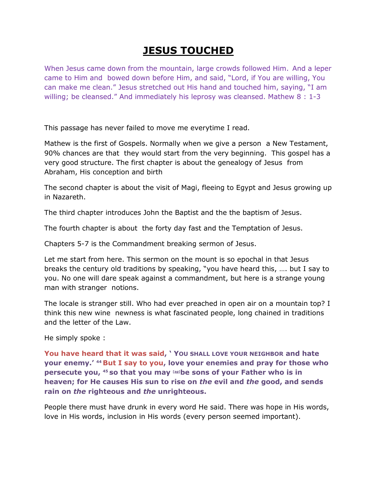## **JESUS TOUCHED**

When Jesus came down from the mountain, large crowds followed Him. And a leper came to Him and bowed down before Him, and said, "Lord, if You are willing, You can make me clean." Jesus stretched out His hand and touched him, saying, "I am willing; be cleansed." And immediately his leprosy was cleansed. Mathew 8 : 1-3

This passage has never failed to move me everytime I read.

Mathew is the first of Gospels. Normally when we give a person a New Testament, 90% chances are that they would start from the very beginning. This gospel has a very good structure. The first chapter is about the genealogy of Jesus from Abraham, His conception and birth

The second chapter is about the visit of Magi, fleeing to Egypt and Jesus growing up in Nazareth.

The third chapter introduces John the Baptist and the the baptism of Jesus.

The fourth chapter is about the forty day fast and the Temptation of Jesus.

Chapters 5-7 is the Commandment breaking sermon of Jesus.

Let me start from here. This sermon on the mount is so epochal in that Jesus breaks the century old traditions by speaking, "you have heard this, …. but I say to you. No one will dare speak against a commandment, but here is a strange young man with stranger notions.

The locale is stranger still. Who had ever preached in open air on a mountain top? I think this new wine newness is what fascinated people, long chained in traditions and the letter of the Law.

He simply spoke :

**You have heard that it was said, ' YOU SHALL LOVE YOUR NEIGHBOR and hate your enemy.' <sup>44</sup> But I say to you, love your enemies and pray for those who persecute you, <sup>45</sup> so that you may [\[ap\]](http://www.biblegateway.com/passage/?search=Matthew+5&version=NASB#fen-NASB-23280ap)be sons of your Father who is in heaven; for He causes His sun to rise on** *the* **evil and** *the* **good, and sends rain on** *the* **righteous and** *the* **unrighteous.**

People there must have drunk in every word He said. There was hope in His words, love in His words, inclusion in His words (every person seemed important).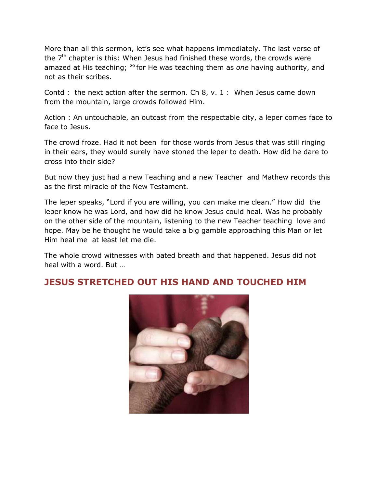More than all this sermon, let's see what happens immediately. The last verse of the  $7<sup>th</sup>$  chapter is this: When Jesus had finished these words, the crowds were amazed at His teaching; **<sup>29</sup>** for He was teaching them as *one* having authority, and not as their scribes.

Contd : the next action after the sermon. Ch 8, v. 1 : When Jesus came down from the mountain, large crowds followed Him.

Action : An untouchable, an outcast from the respectable city, a leper comes face to face to Jesus.

The crowd froze. Had it not been for those words from Jesus that was still ringing in their ears, they would surely have stoned the leper to death. How did he dare to cross into their side?

But now they just had a new Teaching and a new Teacher and Mathew records this as the first miracle of the New Testament.

The leper speaks, "Lord if you are willing, you can make me clean." How did the leper know he was Lord, and how did he know Jesus could heal. Was he probably on the other side of the mountain, listening to the new Teacher teaching love and hope. May be he thought he would take a big gamble approaching this Man or let Him heal me at least let me die.

The whole crowd witnesses with bated breath and that happened. Jesus did not heal with a word. But …

## **JESUS STRETCHED OUT HIS HAND AND TOUCHED HIM**